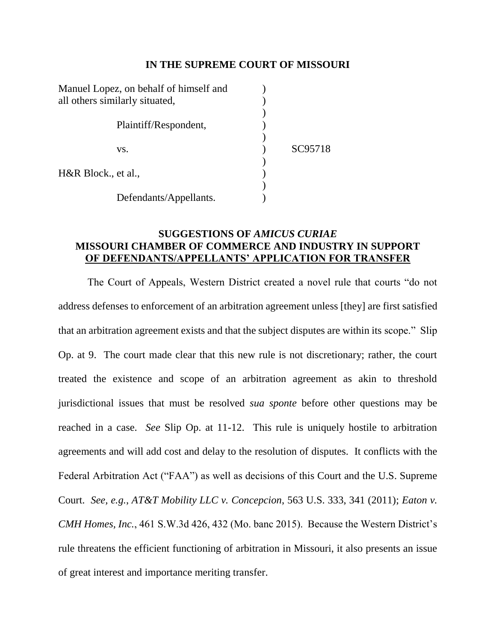### **IN THE SUPREME COURT OF MISSOURI**

| Manuel Lopez, on behalf of himself and |                        |         |
|----------------------------------------|------------------------|---------|
| all others similarly situated,         |                        |         |
|                                        |                        |         |
|                                        | Plaintiff/Respondent,  |         |
|                                        |                        |         |
|                                        | VS.                    | SC95718 |
|                                        |                        |         |
| H&R Block., et al.,                    |                        |         |
|                                        |                        |         |
|                                        | Defendants/Appellants. |         |

## **SUGGESTIONS OF** *AMICUS CURIAE*  **MISSOURI CHAMBER OF COMMERCE AND INDUSTRY IN SUPPORT OF DEFENDANTS/APPELLANTS' APPLICATION FOR TRANSFER**

The Court of Appeals, Western District created a novel rule that courts "do not address defenses to enforcement of an arbitration agreement unless [they] are first satisfied that an arbitration agreement exists and that the subject disputes are within its scope." Slip Op. at 9. The court made clear that this new rule is not discretionary; rather, the court treated the existence and scope of an arbitration agreement as akin to threshold jurisdictional issues that must be resolved *sua sponte* before other questions may be reached in a case. *See* Slip Op. at 11-12. This rule is uniquely hostile to arbitration agreements and will add cost and delay to the resolution of disputes. It conflicts with the Federal Arbitration Act ("FAA") as well as decisions of this Court and the U.S. Supreme Court. *See, e.g.*, *AT&T Mobility LLC v. Concepcion*, 563 U.S. 333, 341 (2011); *Eaton v. CMH Homes, Inc.*, 461 S.W.3d 426, 432 (Mo. banc 2015). Because the Western District's rule threatens the efficient functioning of arbitration in Missouri, it also presents an issue of great interest and importance meriting transfer.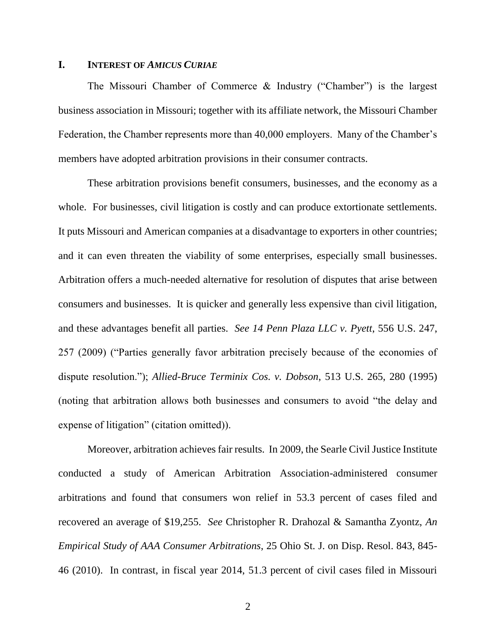### **I. INTEREST OF** *AMICUS CURIAE*

The Missouri Chamber of Commerce & Industry ("Chamber") is the largest business association in Missouri; together with its affiliate network, the Missouri Chamber Federation, the Chamber represents more than 40,000 employers. Many of the Chamber's members have adopted arbitration provisions in their consumer contracts.

These arbitration provisions benefit consumers, businesses, and the economy as a whole. For businesses, civil litigation is costly and can produce extortionate settlements. It puts Missouri and American companies at a disadvantage to exporters in other countries; and it can even threaten the viability of some enterprises, especially small businesses. Arbitration offers a much-needed alternative for resolution of disputes that arise between consumers and businesses. It is quicker and generally less expensive than civil litigation, and these advantages benefit all parties. *See 14 Penn Plaza LLC v. Pyett*, 556 U.S. 247, 257 (2009) ("Parties generally favor arbitration precisely because of the economies of dispute resolution."); *Allied-Bruce Terminix Cos. v. Dobson*, 513 U.S. 265, 280 (1995) (noting that arbitration allows both businesses and consumers to avoid "the delay and expense of litigation" (citation omitted)).

Moreover, arbitration achieves fair results. In 2009, the Searle Civil Justice Institute conducted a study of American Arbitration Association-administered consumer arbitrations and found that consumers won relief in 53.3 percent of cases filed and recovered an average of \$19,255. *See* Christopher R. Drahozal & Samantha Zyontz, *An Empirical Study of AAA Consumer Arbitrations*, 25 Ohio St. J. on Disp. Resol. 843, 845- 46 (2010). In contrast, in fiscal year 2014, 51.3 percent of civil cases filed in Missouri

2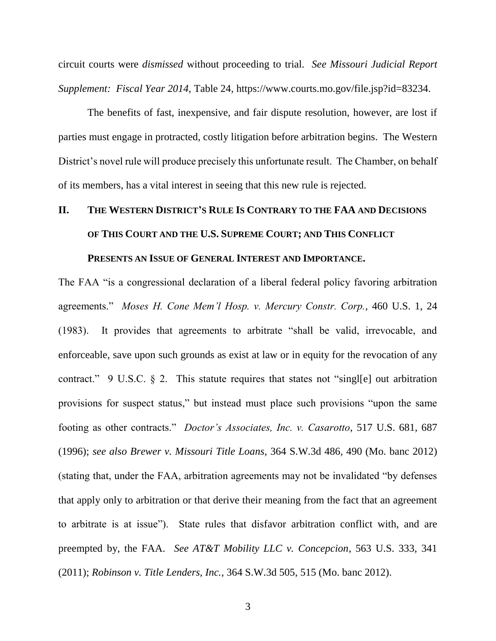circuit courts were *dismissed* without proceeding to trial. *See Missouri Judicial Report Supplement: Fiscal Year 2014*, Table 24, https://www.courts.mo.gov/file.jsp?id=83234.

The benefits of fast, inexpensive, and fair dispute resolution, however, are lost if parties must engage in protracted, costly litigation before arbitration begins. The Western District's novel rule will produce precisely this unfortunate result. The Chamber, on behalf of its members, has a vital interest in seeing that this new rule is rejected.

# **II. THE WESTERN DISTRICT'S RULE IS CONTRARY TO THE FAA AND DECISIONS OF THIS COURT AND THE U.S. SUPREME COURT; AND THIS CONFLICT**

### **PRESENTS AN ISSUE OF GENERAL INTEREST AND IMPORTANCE.**

The FAA "is a congressional declaration of a liberal federal policy favoring arbitration agreements." *Moses H. Cone Mem'l Hosp. v. Mercury Constr. Corp.*, 460 U.S. 1, 24 (1983). It provides that agreements to arbitrate "shall be valid, irrevocable, and enforceable, save upon such grounds as exist at law or in equity for the revocation of any contract." 9 U.S.C.  $\S$  2. This statute requires that states not "single] out arbitration provisions for suspect status," but instead must place such provisions "upon the same footing as other contracts." *Doctor's Associates, Inc. v. Casarotto*, 517 U.S. 681, 687 (1996); *see also Brewer v. Missouri Title Loans*, 364 S.W.3d 486, 490 (Mo. banc 2012) (stating that, under the FAA, arbitration agreements may not be invalidated "by defenses that apply only to arbitration or that derive their meaning from the fact that an agreement to arbitrate is at issue"). State rules that disfavor arbitration conflict with, and are preempted by, the FAA. *See AT&T Mobility LLC v. Concepcion*, 563 U.S. 333, 341 (2011); *Robinson v. Title Lenders, Inc.*, 364 S.W.3d 505, 515 (Mo. banc 2012).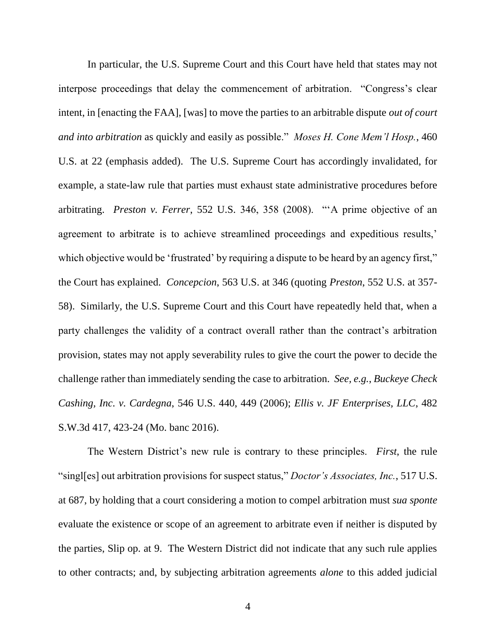In particular, the U.S. Supreme Court and this Court have held that states may not interpose proceedings that delay the commencement of arbitration. "Congress's clear intent, in [enacting the FAA], [was] to move the parties to an arbitrable dispute *out of court and into arbitration* as quickly and easily as possible." *Moses H. Cone Mem'l Hosp.*, 460 U.S. at 22 (emphasis added). The U.S. Supreme Court has accordingly invalidated, for example, a state-law rule that parties must exhaust state administrative procedures before arbitrating. *Preston v. Ferrer*, 552 U.S. 346, 358 (2008). "'A prime objective of an agreement to arbitrate is to achieve streamlined proceedings and expeditious results,' which objective would be 'frustrated' by requiring a dispute to be heard by an agency first," the Court has explained. *Concepcion*, 563 U.S. at 346 (quoting *Preston*, 552 U.S. at 357- 58). Similarly, the U.S. Supreme Court and this Court have repeatedly held that, when a party challenges the validity of a contract overall rather than the contract's arbitration provision, states may not apply severability rules to give the court the power to decide the challenge rather than immediately sending the case to arbitration. *See, e.g.*, *Buckeye Check Cashing, Inc. v. Cardegna*, 546 U.S. 440, 449 (2006); *Ellis v. JF Enterprises, LLC*, 482 S.W.3d 417, 423-24 (Mo. banc 2016).

The Western District's new rule is contrary to these principles. *First*, the rule "singl[es] out arbitration provisions for suspect status," *Doctor's Associates, Inc.*, 517 U.S. at 687, by holding that a court considering a motion to compel arbitration must *sua sponte* evaluate the existence or scope of an agreement to arbitrate even if neither is disputed by the parties, Slip op. at 9. The Western District did not indicate that any such rule applies to other contracts; and, by subjecting arbitration agreements *alone* to this added judicial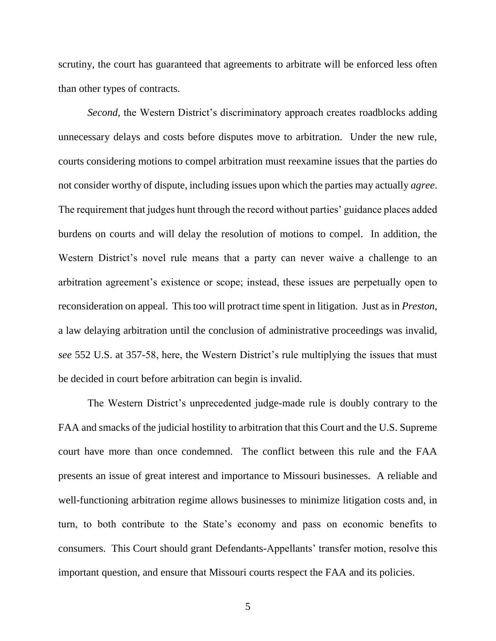scrutiny, the court has guaranteed that agreements to arbitrate will be enforced less often than other types of contracts.

*Second*, the Western District's discriminatory approach creates roadblocks adding unnecessary delays and costs before disputes move to arbitration. Under the new rule, courts considering motions to compel arbitration must reexamine issues that the parties do not consider worthy of dispute, including issues upon which the parties may actually *agree*. The requirement that judges hunt through the record without parties' guidance places added burdens on courts and will delay the resolution of motions to compel. In addition, the Western District's novel rule means that a party can never waive a challenge to an arbitration agreement's existence or scope; instead, these issues are perpetually open to reconsideration on appeal. This too will protract time spent in litigation. Just as in *Preston*, a law delaying arbitration until the conclusion of administrative proceedings was invalid, *see* 552 U.S. at 357-58, here, the Western District's rule multiplying the issues that must be decided in court before arbitration can begin is invalid.

The Western District's unprecedented judge-made rule is doubly contrary to the FAA and smacks of the judicial hostility to arbitration that this Court and the U.S. Supreme court have more than once condemned. The conflict between this rule and the FAA presents an issue of great interest and importance to Missouri businesses. A reliable and well-functioning arbitration regime allows businesses to minimize litigation costs and, in turn, to both contribute to the State's economy and pass on economic benefits to consumers. This Court should grant Defendants-Appellants' transfer motion, resolve this important question, and ensure that Missouri courts respect the FAA and its policies.

5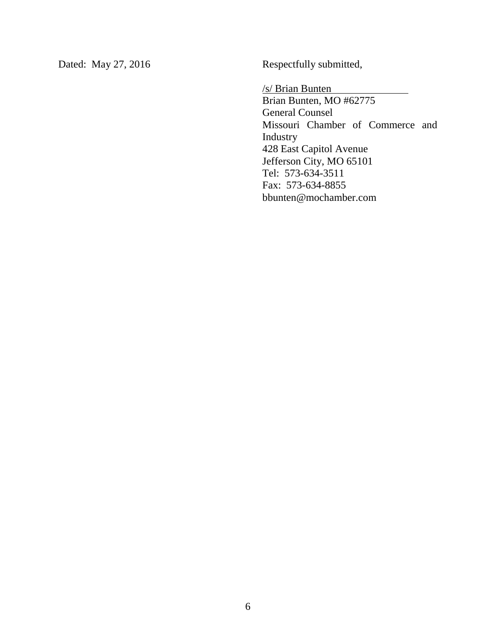Dated: May 27, 2016 Respectfully submitted,

/s/ Brian Bunten

Brian Bunten, MO #62775 General Counsel Missouri Chamber of Commerce and Industry 428 East Capitol Avenue Jefferson City, MO 65101 Tel: 573-634-3511 Fax: 573-634-8855 bbunten@mochamber.com